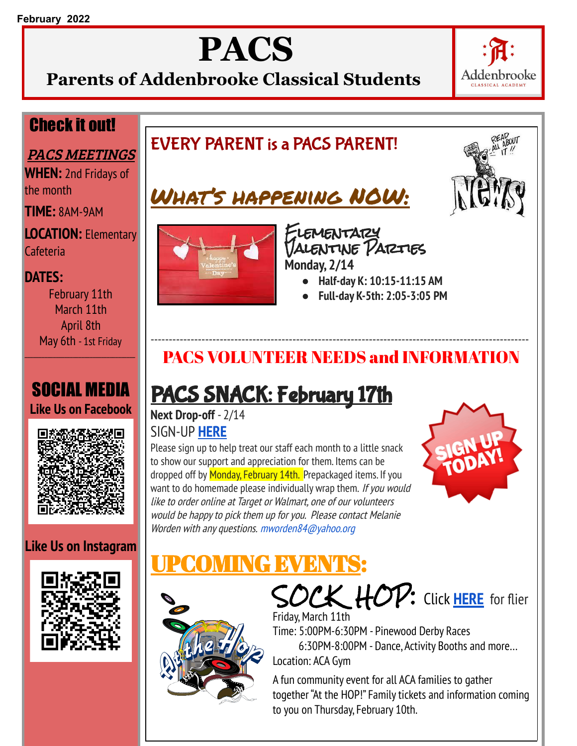# **PACS**

**Parents of Addenbrooke Classical Students**



### Check it out!

#### PACS MEETINGS

**WHEN:** 2nd Fridays of the month

**TIME:** 8AM-9AM

**LOCATION:** Elementary Cafeteria

#### **DATES:**

February 11th March 11th April 8th May 6th - 1st Friday

### SOCIAL MEDIA **Like Us on Facebook**



### **Like Us on Instagram**







Elementary Valentine Parties **Monday, 2/14**

- **● Half-day K: 10:15-11:15 AM**
- **● Full-day K-5th: 2:05-3:05 PM**

### -------------------------------------------------------------------------------------------------------- PACS VOLUNTEER NEEDS and INFORMATION

### PACS SNACK: February 17th

**Next Drop-off** - 2/14 SIGN-UP **HERE**

Please sign up to help treat our staff each month to a little snack to show our support and appreciation for them. Items can be dropped off by Monday, February 14th. Prepackaged items. If you want to do homemade please individually wrap them. If you would like to order online at Target or Walmart, one of our volunteers would be happy to pick them up for you. Please contact Melanie Worden with any questions. mworden84@yahoo.org



### Vel X



SOCK HOP: Click **HERE** for flier Friday, March 11th Time: 5:00PM-6:30PM - Pinewood Derby Races 6:30PM-8:00PM - Dance, Activity Booths and more… Location: ACA Gym

A fun community event for all ACA families to gather together "At the HOP!" Family tickets and information coming to you on Thursday, February 10th.

### EVERY PARENT is a PACS PARENT!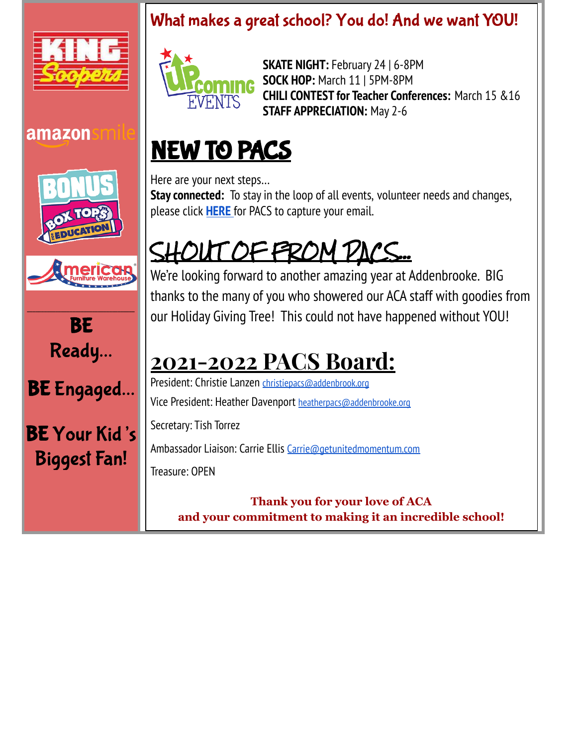



amazon

**SKATE NIGHT:** February 24 | 6-8PM **SOCK HOP:** March 11 | 5PM-8PM **CHILI CONTEST for Teacher Conferences:** March 15 &16 **STAFF APPRECIATION:** May 2-6

## NEW TO PACS

Here are your next steps… **Stay connected:** To stay in the loop of all events, volunteer needs and changes, please click **HERE** for PACS to capture your email.

# SHOUT OF FROM PACS...

We're looking forward to another amazing year at Addenbrooke. BIG thanks to the many of you who showered our ACA staff with goodies from our Holiday Giving Tree! This could not have happened without YOU!

## **2021-2022 PACS Board:**

President: Christie Lanzen christiepacs@addenbrook.org Vice President: Heather Davenport heatherpacs@addenbrooke.org Secretary: Tish Torrez

Ambassador Liaison: Carrie Ellis Carrie@getunitedmomentum.com Treasure: OPEN

**Thank you for your love of ACA and your commitment to making it an incredible school!**



BE Ready…

BE Engaged…

BE Your Kid' s Biggest Fan!